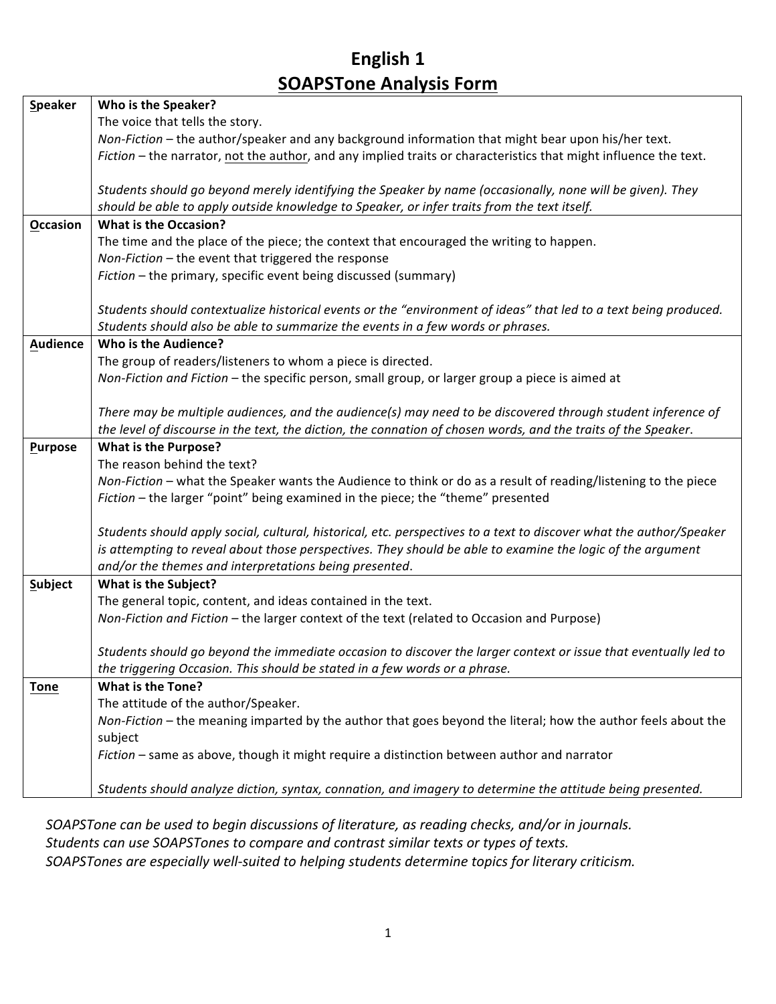## **English 1 SOAPSTone Analysis Form**

| Speaker         | Who is the Speaker?                                                                                                 |  |  |  |
|-----------------|---------------------------------------------------------------------------------------------------------------------|--|--|--|
|                 | The voice that tells the story.                                                                                     |  |  |  |
|                 | Non-Fiction - the author/speaker and any background information that might bear upon his/her text.                  |  |  |  |
|                 | Fiction - the narrator, not the author, and any implied traits or characteristics that might influence the text.    |  |  |  |
|                 |                                                                                                                     |  |  |  |
|                 | Students should go beyond merely identifying the Speaker by name (occasionally, none will be given). They           |  |  |  |
|                 | should be able to apply outside knowledge to Speaker, or infer traits from the text itself.                         |  |  |  |
| Occasion        | <b>What is the Occasion?</b>                                                                                        |  |  |  |
|                 | The time and the place of the piece; the context that encouraged the writing to happen.                             |  |  |  |
|                 | Non-Fiction - the event that triggered the response                                                                 |  |  |  |
|                 | Fiction - the primary, specific event being discussed (summary)                                                     |  |  |  |
|                 |                                                                                                                     |  |  |  |
|                 | Students should contextualize historical events or the "environment of ideas" that led to a text being produced.    |  |  |  |
|                 | Students should also be able to summarize the events in a few words or phrases.                                     |  |  |  |
| <b>Audience</b> | Who is the Audience?                                                                                                |  |  |  |
|                 | The group of readers/listeners to whom a piece is directed.                                                         |  |  |  |
|                 | Non-Fiction and Fiction - the specific person, small group, or larger group a piece is aimed at                     |  |  |  |
|                 |                                                                                                                     |  |  |  |
|                 | There may be multiple audiences, and the audience(s) may need to be discovered through student inference of         |  |  |  |
|                 | the level of discourse in the text, the diction, the connation of chosen words, and the traits of the Speaker.      |  |  |  |
| Purpose         | <b>What is the Purpose?</b>                                                                                         |  |  |  |
|                 | The reason behind the text?                                                                                         |  |  |  |
|                 | Non-Fiction - what the Speaker wants the Audience to think or do as a result of reading/listening to the piece      |  |  |  |
|                 | Fiction - the larger "point" being examined in the piece; the "theme" presented                                     |  |  |  |
|                 |                                                                                                                     |  |  |  |
|                 | Students should apply social, cultural, historical, etc. perspectives to a text to discover what the author/Speaker |  |  |  |
|                 | is attempting to reveal about those perspectives. They should be able to examine the logic of the argument          |  |  |  |
|                 | and/or the themes and interpretations being presented.                                                              |  |  |  |
| <b>Subject</b>  | What is the Subject?                                                                                                |  |  |  |
|                 | The general topic, content, and ideas contained in the text.                                                        |  |  |  |
|                 | Non-Fiction and Fiction - the larger context of the text (related to Occasion and Purpose)                          |  |  |  |
|                 |                                                                                                                     |  |  |  |
|                 | Students should go beyond the immediate occasion to discover the larger context or issue that eventually led to     |  |  |  |
|                 | the triggering Occasion. This should be stated in a few words or a phrase.                                          |  |  |  |
| <b>Tone</b>     | <b>What is the Tone?</b>                                                                                            |  |  |  |
|                 | The attitude of the author/Speaker.                                                                                 |  |  |  |
|                 | Non-Fiction - the meaning imparted by the author that goes beyond the literal; how the author feels about the       |  |  |  |
|                 | subject                                                                                                             |  |  |  |
|                 | Fiction - same as above, though it might require a distinction between author and narrator                          |  |  |  |
|                 |                                                                                                                     |  |  |  |
|                 | Students should analyze diction, syntax, connation, and imagery to determine the attitude being presented.          |  |  |  |

SOAPSTone can.be used to begin discussions of literature, as reading checks, and/or in journals. *Students.can.use.SOAPSTones to.compare.and.contrast.similar.texts.or.types.of.texts.* SOAPSTones are especially well-suited to helping students determine topics for literary criticism.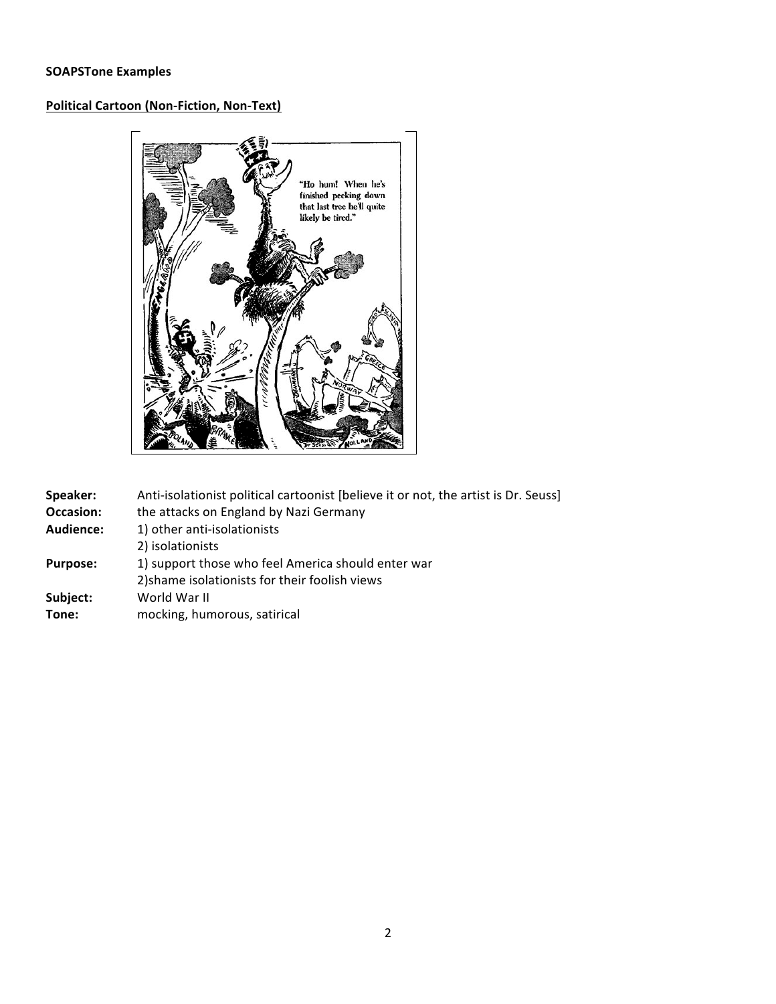## **Political Cartoon (Non-Fiction, Non-Text)**



| Anti-isolationist political cartoonist [believe it or not, the artist is Dr. Seuss] |  |  |
|-------------------------------------------------------------------------------------|--|--|
| the attacks on England by Nazi Germany                                              |  |  |
|                                                                                     |  |  |
|                                                                                     |  |  |
|                                                                                     |  |  |
|                                                                                     |  |  |
|                                                                                     |  |  |
|                                                                                     |  |  |
|                                                                                     |  |  |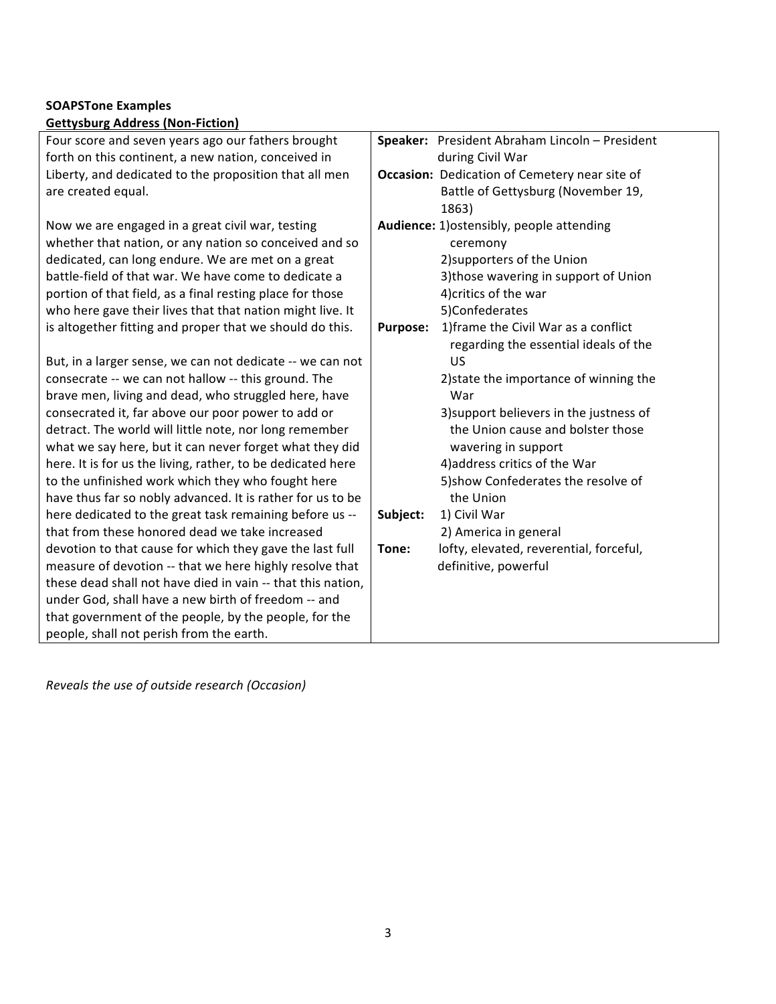## **SOAPSTone Examples Gettysburg Address (Non-Fiction)**

| <u>2000   000   000   000   000   000   000   000   000   000   000   000   000   000   000   000   000   000   0</u> |                 |                                                |
|-----------------------------------------------------------------------------------------------------------------------|-----------------|------------------------------------------------|
| Four score and seven years ago our fathers brought                                                                    |                 | Speaker: President Abraham Lincoln - President |
| forth on this continent, a new nation, conceived in                                                                   |                 | during Civil War                               |
| Liberty, and dedicated to the proposition that all men                                                                |                 | Occasion: Dedication of Cemetery near site of  |
| are created equal.                                                                                                    |                 | Battle of Gettysburg (November 19,             |
|                                                                                                                       |                 | 1863)                                          |
| Now we are engaged in a great civil war, testing                                                                      |                 | Audience: 1) ostensibly, people attending      |
| whether that nation, or any nation so conceived and so                                                                |                 | ceremony                                       |
| dedicated, can long endure. We are met on a great                                                                     |                 | 2) supporters of the Union                     |
| battle-field of that war. We have come to dedicate a                                                                  |                 | 3) those wavering in support of Union          |
| portion of that field, as a final resting place for those                                                             |                 | 4) critics of the war                          |
| who here gave their lives that that nation might live. It                                                             |                 | 5)Confederates                                 |
| is altogether fitting and proper that we should do this.                                                              | <b>Purpose:</b> | 1) frame the Civil War as a conflict           |
|                                                                                                                       |                 | regarding the essential ideals of the          |
| But, in a larger sense, we can not dedicate -- we can not                                                             |                 | US                                             |
| consecrate -- we can not hallow -- this ground. The                                                                   |                 | 2) state the importance of winning the         |
| brave men, living and dead, who struggled here, have                                                                  |                 | War                                            |
| consecrated it, far above our poor power to add or                                                                    |                 | 3) support believers in the justness of        |
| detract. The world will little note, nor long remember                                                                |                 | the Union cause and bolster those              |
| what we say here, but it can never forget what they did                                                               |                 | wavering in support                            |
| here. It is for us the living, rather, to be dedicated here                                                           |                 | 4) address critics of the War                  |
| to the unfinished work which they who fought here                                                                     |                 | 5) show Confederates the resolve of            |
| have thus far so nobly advanced. It is rather for us to be                                                            |                 | the Union                                      |
| here dedicated to the great task remaining before us --                                                               | Subject:        | 1) Civil War                                   |
| that from these honored dead we take increased                                                                        |                 | 2) America in general                          |
| devotion to that cause for which they gave the last full                                                              | Tone:           | lofty, elevated, reverential, forceful,        |
| measure of devotion -- that we here highly resolve that                                                               |                 | definitive, powerful                           |
| these dead shall not have died in vain -- that this nation,                                                           |                 |                                                |
| under God, shall have a new birth of freedom -- and                                                                   |                 |                                                |
| that government of the people, by the people, for the                                                                 |                 |                                                |
| people, shall not perish from the earth.                                                                              |                 |                                                |
|                                                                                                                       |                 |                                                |

*Reveals.the.use.of.outside.research.(Occasion)*